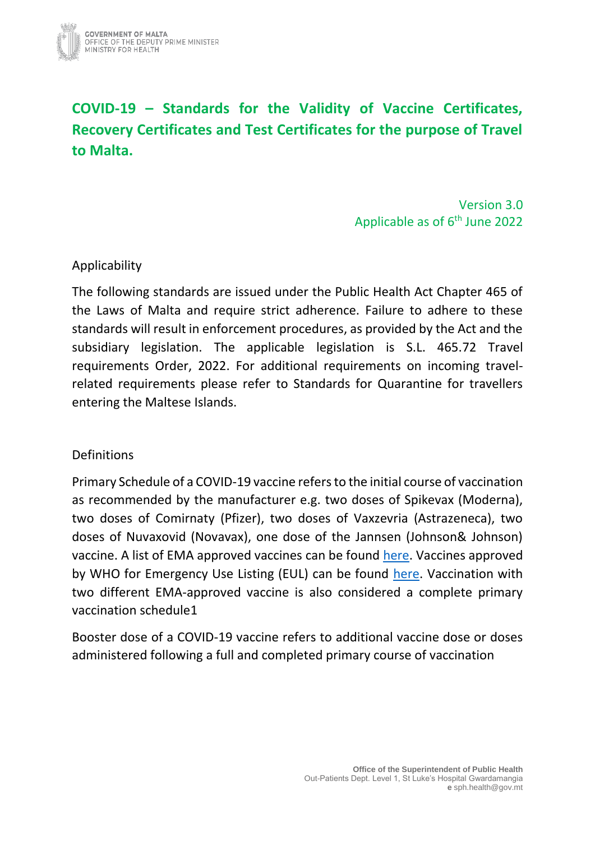

# **COVID-19 – Standards for the Validity of Vaccine Certificates, Recovery Certificates and Test Certificates for the purpose of Travel to Malta.**

Version 3.0 Applicable as of 6<sup>th</sup> June 2022

## Applicability

The following standards are issued under the Public Health Act Chapter 465 of the Laws of Malta and require strict adherence. Failure to adhere to these standards will result in enforcement procedures, as provided by the Act and the subsidiary legislation. The applicable legislation is S.L. 465.72 Travel requirements Order, 2022. For additional requirements on incoming travelrelated requirements please refer to Standards for Quarantine for travellers entering the Maltese Islands.

## Definitions

Primary Schedule of a COVID-19 vaccine refers to the initial course of vaccination as recommended by the manufacturer e.g. two doses of Spikevax (Moderna), two doses of Comirnaty (Pfizer), two doses of Vaxzevria (Astrazeneca), two doses of Nuvaxovid (Novavax), one dose of the Jannsen (Johnson& Johnson) vaccine. A list of EMA approved vaccines can be found [here.](https://www.ema.europa.eu/en/human-regulatory/overview/public-health-threats/coronavirus-disease-covid-19/treatments-vaccines/vaccines-covid-19/covid-19-vaccines-authorised) Vaccines approved by WHO for Emergency Use Listing (EUL) can be found [here.](https://extranet.who.int/pqweb/sites/default/files/documents/Status_COVID_VAX_02March2022.pdf) Vaccination with two different EMA-approved vaccine is also considered a complete primary vaccination schedule1

Booster dose of a COVID-19 vaccine refers to additional vaccine dose or doses administered following a full and completed primary course of vaccination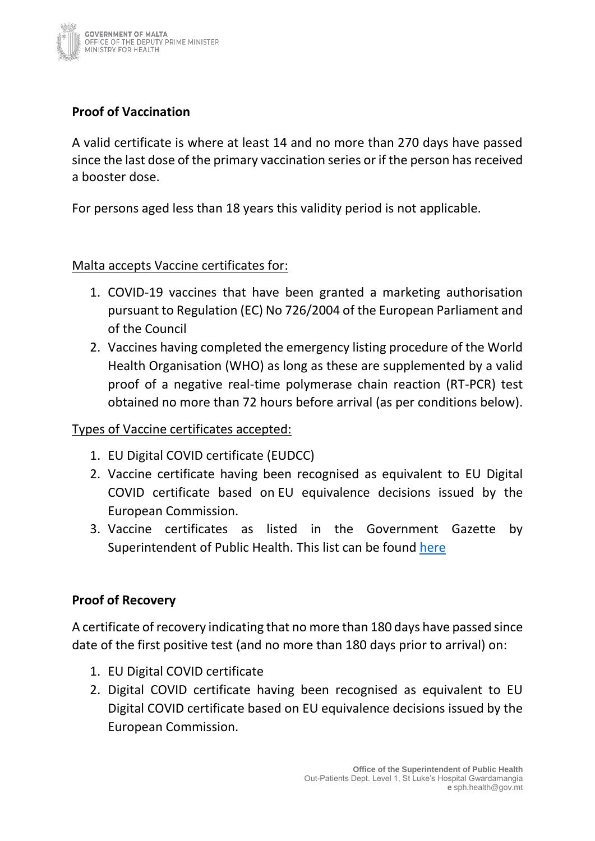

# **Proof of Vaccination**

A valid certificate is where at least 14 and no more than 270 days have passed since the last dose of the primary vaccination series or if the person has received a booster dose.

For persons aged less than 18 years this validity period is not applicable.

Malta accepts Vaccine certificates for:

- 1. COVID-19 vaccines that have been granted a marketing authorisation pursuant to Regulation (EC) No 726/2004 of the European Parliament and of the Council
- 2. Vaccines having completed the emergency listing procedure of the World Health Organisation (WHO) as long as these are supplemented by a valid proof of a negative real-time polymerase chain reaction (RT-PCR) test obtained no more than 72 hours before arrival (as per conditions below).

#### Types of Vaccine certificates accepted:

- 1. EU Digital COVID certificate (EUDCC)
- 2. Vaccine certificate having been recognised as equivalent to EU Digital COVID certificate based on EU equivalence decisions issued by the European Commission.
- 3. Vaccine certificates as listed in the Government Gazette by Superintendent of Public Health. This list can be found [here](https://deputyprimeminister.gov.mt/en/health-promotion/covid-19/Pages/travel.aspx)

## **Proof of Recovery**

A certificate of recovery indicating that no more than 180 days have passed since date of the first positive test (and no more than 180 days prior to arrival) on:

- 1. EU Digital COVID certificate
- 2. Digital COVID certificate having been recognised as equivalent to EU Digital COVID certificate based on EU equivalence decisions issued by the European Commission.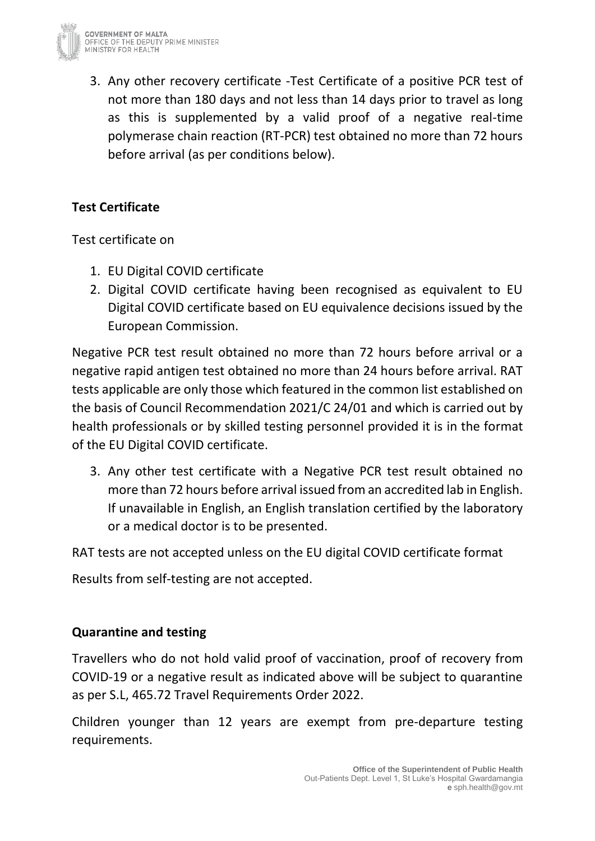

3. Any other recovery certificate -Test Certificate of a positive PCR test of not more than 180 days and not less than 14 days prior to travel as long as this is supplemented by a valid proof of a negative real-time polymerase chain reaction (RT-PCR) test obtained no more than 72 hours before arrival (as per conditions below).

# **Test Certificate**

Test certificate on

- 1. EU Digital COVID certificate
- 2. Digital COVID certificate having been recognised as equivalent to EU Digital COVID certificate based on EU equivalence decisions issued by the European Commission.

Negative PCR test result obtained no more than 72 hours before arrival or a negative rapid antigen test obtained no more than 24 hours before arrival. RAT tests applicable are only those which featured in the common list established on the basis of Council Recommendation 2021/C 24/01 and which is carried out by health professionals or by skilled testing personnel provided it is in the format of the EU Digital COVID certificate.

3. Any other test certificate with a Negative PCR test result obtained no more than 72 hours before arrival issued from an accredited lab in English. If unavailable in English, an English translation certified by the laboratory or a medical doctor is to be presented.

RAT tests are not accepted unless on the EU digital COVID certificate format

Results from self-testing are not accepted.

## **Quarantine and testing**

Travellers who do not hold valid proof of vaccination, proof of recovery from COVID-19 or a negative result as indicated above will be subject to quarantine as per S.L, 465.72 Travel Requirements Order 2022.

Children younger than 12 years are exempt from pre-departure testing requirements.